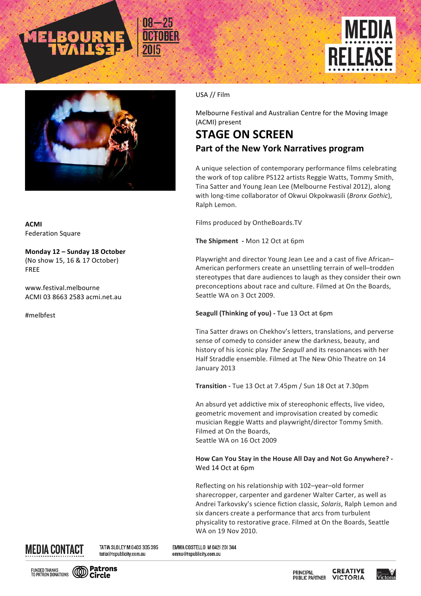





**ACMI** Federation Square

**Monday 12 – Sunday 18 October** (No show 15, 16 & 17 October) FREE

www.festival.melbourne ACMI 03 8663 2583 acmi.net.au

#melbfest

## USA // Film

Melbourne Festival and Australian Centre for the Moving Image (ACMI) present

## **STAGE ON SCREEN Part of the New York Narratives program**

A unique selection of contemporary performance films celebrating the work of top calibre PS122 artists Reggie Watts, Tommy Smith, Tina Satter and Young Jean Lee (Melbourne Festival 2012), along with long-time collaborator of Okwui Okpokwasili (*Bronx Gothic*), Ralph Lemon.

Films produced by OntheBoards.TV

**The Shipment** - Mon 12 Oct at 6pm

Playwright and director Young Jean Lee and a cast of five African-American performers create an unsettling terrain of well-trodden stereotypes that dare audiences to laugh as they consider their own preconceptions about race and culture. Filmed at On the Boards, Seattle WA on 3 Oct 2009.

## **Seagull (Thinking of you)** - Tue 13 Oct at 6pm

Tina Satter draws on Chekhov's letters, translations, and perverse sense of comedy to consider anew the darkness, beauty, and history of his iconic play *The Seagull* and its resonances with her Half Straddle ensemble. Filmed at The New Ohio Theatre on 14 January 2013

**Transition** - Tue 13 Oct at 7.45pm / Sun 18 Oct at 7.30pm

An absurd yet addictive mix of stereophonic effects, live video, geometric movement and improvisation created by comedic musician Reggie Watts and playwright/director Tommy Smith. Filmed at On the Boards, Seattle WA on 16 Oct 2009

## How Can You Stay in the House All Day and Not Go Anywhere? -Wed 14 Oct at 6pm

Reflecting on his relationship with 102-year-old former sharecropper, carpenter and gardener Walter Carter, as well as Andrei Tarkovsky's science fiction classic, *Solaris*, Ralph Lemon and six dancers create a performance that arcs from turbulent physicality to restorative grace. Filmed at On the Boards, Seattle WA on 19 Nov 2010.



TATIA SLOLEY M 0403 305 395 tatia@tspublicity.com.au

EMMA COSTELLO M 042| 20| 344 emma@tspublicity.com.au



**CREATIVE** PRINCIPAL **PUBLIC PARTNER VICTORIA**